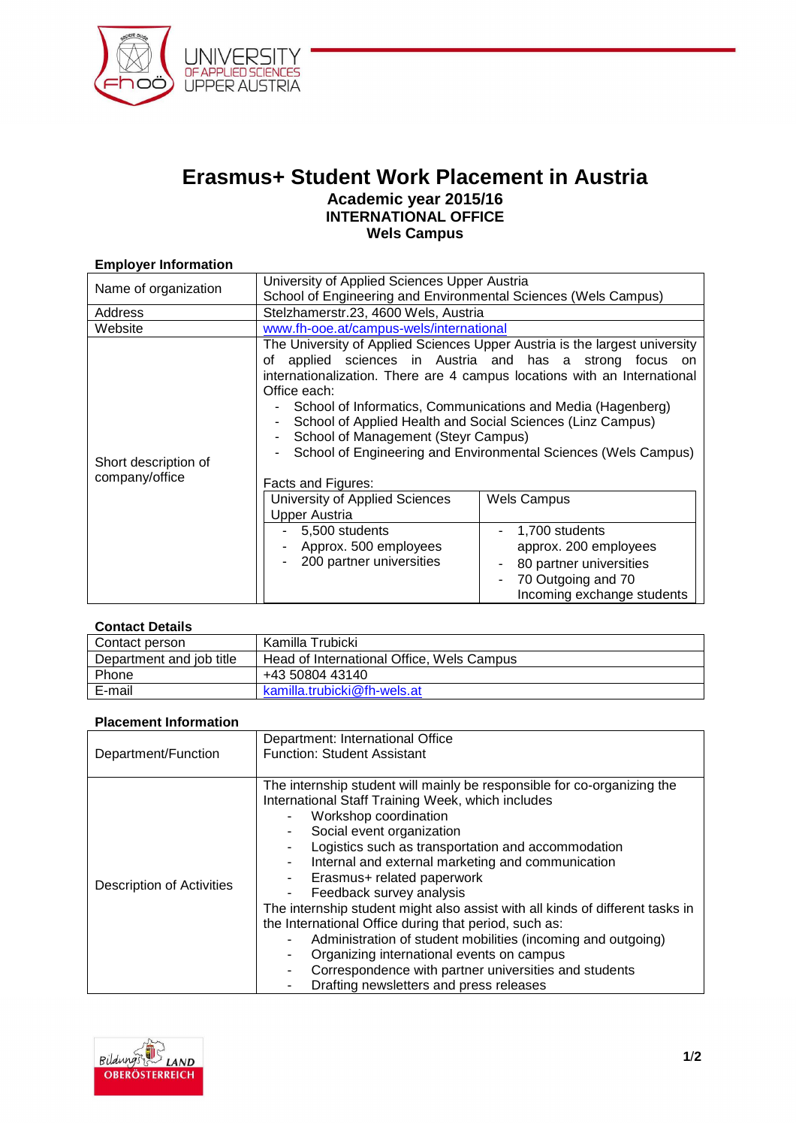

# **Erasmus+ Student Work Placement in Austria Academic year 2015/16 INTERNATIONAL OFFICE Wels Campus**

## **Employer Information**

| Name of organization                   | University of Applied Sciences Upper Austria                                                                                                                                                                       |                                                                                                                                                                                                                                                                                                                                                                                                                                                                                                                                  |
|----------------------------------------|--------------------------------------------------------------------------------------------------------------------------------------------------------------------------------------------------------------------|----------------------------------------------------------------------------------------------------------------------------------------------------------------------------------------------------------------------------------------------------------------------------------------------------------------------------------------------------------------------------------------------------------------------------------------------------------------------------------------------------------------------------------|
|                                        | School of Engineering and Environmental Sciences (Wels Campus)                                                                                                                                                     |                                                                                                                                                                                                                                                                                                                                                                                                                                                                                                                                  |
| Address                                | Stelzhamerstr.23, 4600 Wels, Austria                                                                                                                                                                               |                                                                                                                                                                                                                                                                                                                                                                                                                                                                                                                                  |
| Website                                | www.fh-ooe.at/campus-wels/international                                                                                                                                                                            |                                                                                                                                                                                                                                                                                                                                                                                                                                                                                                                                  |
| Short description of<br>company/office | of<br>Office each:<br>School of Management (Steyr Campus)<br>Facts and Figures:<br>University of Applied Sciences<br><b>Upper Austria</b><br>- 5,500 students<br>Approx. 500 employees<br>200 partner universities | The University of Applied Sciences Upper Austria is the largest university<br>applied sciences in Austria and has a strong focus on<br>internationalization. There are 4 campus locations with an International<br>School of Informatics, Communications and Media (Hagenberg)<br>School of Applied Health and Social Sciences (Linz Campus)<br>School of Engineering and Environmental Sciences (Wels Campus)<br><b>Wels Campus</b><br>1,700 students<br>approx. 200 employees<br>80 partner universities<br>70 Outgoing and 70 |
|                                        |                                                                                                                                                                                                                    | Incoming exchange students                                                                                                                                                                                                                                                                                                                                                                                                                                                                                                       |

#### **Contact Details**

| Contact person           | Kamilla Trubicki                          |
|--------------------------|-------------------------------------------|
| Department and job title | Head of International Office, Wels Campus |
| Phone                    | +43 50804 43140                           |
| E-mail                   | kamilla.trubicki@fh-wels.at               |

#### **Placement Information**

| Department/Function       | Department: International Office                                                                                                                                                                                                                                                                                                                                                                                                                                                                                    |
|---------------------------|---------------------------------------------------------------------------------------------------------------------------------------------------------------------------------------------------------------------------------------------------------------------------------------------------------------------------------------------------------------------------------------------------------------------------------------------------------------------------------------------------------------------|
|                           | <b>Function: Student Assistant</b>                                                                                                                                                                                                                                                                                                                                                                                                                                                                                  |
|                           |                                                                                                                                                                                                                                                                                                                                                                                                                                                                                                                     |
| Description of Activities | The internship student will mainly be responsible for co-organizing the<br>International Staff Training Week, which includes<br>Workshop coordination<br>Social event organization<br>Logistics such as transportation and accommodation<br>Internal and external marketing and communication<br>$\blacksquare$<br>Erasmus+ related paperwork<br>Feedback survey analysis<br>The internship student might also assist with all kinds of different tasks in<br>the International Office during that period, such as: |
|                           | Administration of student mobilities (incoming and outgoing)                                                                                                                                                                                                                                                                                                                                                                                                                                                        |
|                           | Organizing international events on campus<br>۰<br>Correspondence with partner universities and students<br>$\blacksquare$                                                                                                                                                                                                                                                                                                                                                                                           |
|                           | Drafting newsletters and press releases                                                                                                                                                                                                                                                                                                                                                                                                                                                                             |